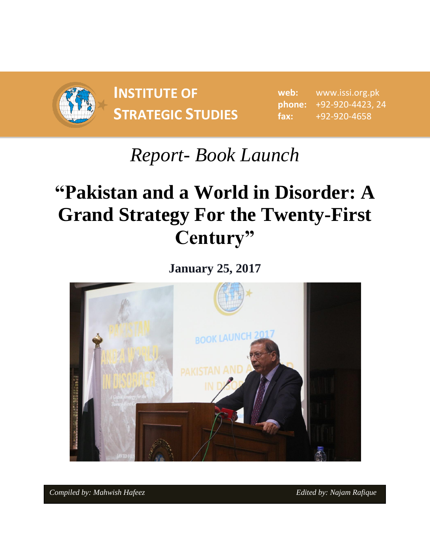

**INSTITUTE OF STRATEGIC STUDIES**  $\begin{bmatrix} 1 & 0 & 0 \\ 0 & 1 & 0 \\ 0 & 0 & 1 \end{bmatrix}$ 

**web:** www.issi.org.pk **phone:** +92-920-4423, 24 **fax:** +92-920-4658

## *Report- Book Launch*

## **"Pakistan and a World in Disorder: A Grand Strategy For the Twenty-First Century"**

**January 25, 2017**



*Compiled by: Mahwish Hafeez Edited by: Najam Rafique Edited by: Najam Rafique*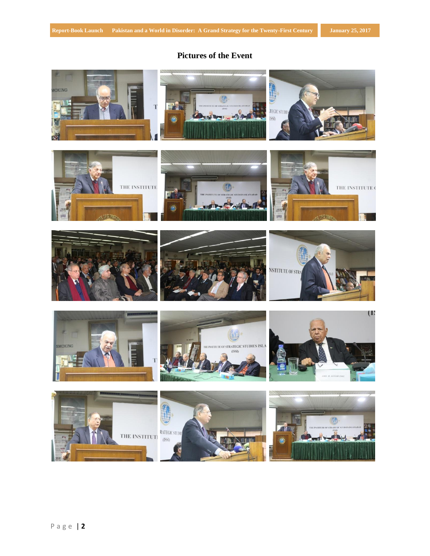## **Pictures of the Event**

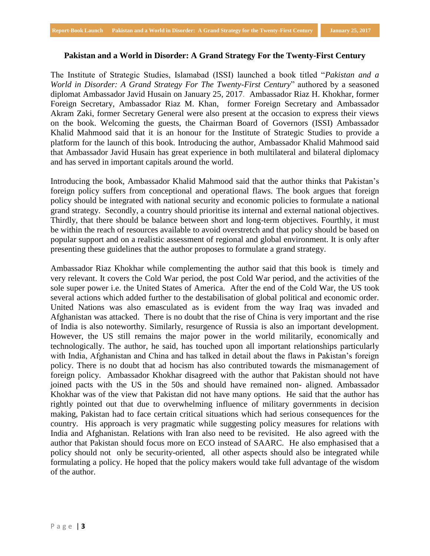## **Pakistan and a World in Disorder: A Grand Strategy For the Twenty-First Century**

The Institute of Strategic Studies, Islamabad (ISSI) launched a book titled "*Pakistan and a World in Disorder: A Grand Strategy For The Twenty-First Century*" authored by a seasoned diplomat Ambassador Javid Husain on January 25, 2017. Ambassador Riaz H. Khokhar, former Foreign Secretary, Ambassador Riaz M. Khan, former Foreign Secretary and Ambassador Akram Zaki, former Secretary General were also present at the occasion to express their views on the book. Welcoming the guests, the Chairman Board of Governors (ISSI) Ambassador Khalid Mahmood said that it is an honour for the Institute of Strategic Studies to provide a platform for the launch of this book. Introducing the author, Ambassador Khalid Mahmood said that Ambassador Javid Husain has great experience in both multilateral and bilateral diplomacy and has served in important capitals around the world.

Introducing the book, Ambassador Khalid Mahmood said that the author thinks that Pakistan's foreign policy suffers from conceptional and operational flaws. The book argues that foreign policy should be integrated with national security and economic policies to formulate a national grand strategy. Secondly, a country should prioritise its internal and external national objectives. Thirdly, that there should be balance between short and long-term objectives. Fourthly, it must be within the reach of resources available to avoid overstretch and that policy should be based on popular support and on a realistic assessment of regional and global environment. It is only after presenting these guidelines that the author proposes to formulate a grand strategy.

Ambassador Riaz Khokhar while complementing the author said that this book is timely and very relevant. It covers the Cold War period, the post Cold War period, and the activities of the sole super power i.e. the United States of America. After the end of the Cold War, the US took several actions which added further to the destabilisation of global political and economic order. United Nations was also emasculated as is evident from the way Iraq was invaded and Afghanistan was attacked. There is no doubt that the rise of China is very important and the rise of India is also noteworthy. Similarly, resurgence of Russia is also an important development. However, the US still remains the major power in the world militarily, economically and technologically. The author, he said, has touched upon all important relationships particularly with India, Afghanistan and China and has talked in detail about the flaws in Pakistan's foreign policy. There is no doubt that ad hocism has also contributed towards the mismanagement of foreign policy. Ambassador Khokhar disagreed with the author that Pakistan should not have joined pacts with the US in the 50s and should have remained non- aligned. Ambassador Khokhar was of the view that Pakistan did not have many options. He said that the author has rightly pointed out that due to overwhelming influence of military governments in decision making, Pakistan had to face certain critical situations which had serious consequences for the country. His approach is very pragmatic while suggesting policy measures for relations with India and Afghanistan. Relations with Iran also need to be revisited. He also agreed with the author that Pakistan should focus more on ECO instead of SAARC. He also emphasised that a policy should not only be security-oriented, all other aspects should also be integrated while formulating a policy. He hoped that the policy makers would take full advantage of the wisdom of the author.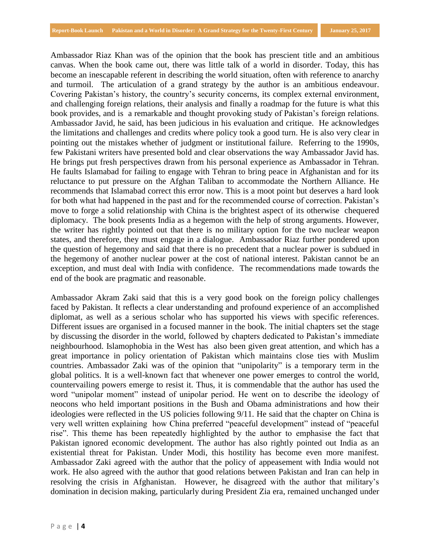Ambassador Riaz Khan was of the opinion that the book has prescient title and an ambitious canvas. When the book came out, there was little talk of a world in disorder. Today, this has become an inescapable referent in describing the world situation, often with reference to anarchy and turmoil. The articulation of a grand strategy by the author is an ambitious endeavour. Covering Pakistan's history, the country's security concerns, its complex external environment, and challenging foreign relations, their analysis and finally a roadmap for the future is what this book provides, and is a remarkable and thought provoking study of Pakistan's foreign relations. Ambassador Javid, he said, has been judicious in his evaluation and critique. He acknowledges the limitations and challenges and credits where policy took a good turn. He is also very clear in pointing out the mistakes whether of judgment or institutional failure. Referring to the 1990s, few Pakistani writers have presented bold and clear observations the way Ambassador Javid has. He brings put fresh perspectives drawn from his personal experience as Ambassador in Tehran. He faults Islamabad for failing to engage with Tehran to bring peace in Afghanistan and for its reluctance to put pressure on the Afghan Taliban to accommodate the Northern Alliance. He recommends that Islamabad correct this error now. This is a moot point but deserves a hard look for both what had happened in the past and for the recommended course of correction. Pakistan's move to forge a solid relationship with China is the brightest aspect of its otherwise chequered diplomacy. The book presents India as a hegemon with the help of strong arguments. However, the writer has rightly pointed out that there is no military option for the two nuclear weapon states, and therefore, they must engage in a dialogue. Ambassador Riaz further pondered upon the question of hegemony and said that there is no precedent that a nuclear power is subdued in the hegemony of another nuclear power at the cost of national interest. Pakistan cannot be an exception, and must deal with India with confidence. The recommendations made towards the end of the book are pragmatic and reasonable.

Ambassador Akram Zaki said that this is a very good book on the foreign policy challenges faced by Pakistan. It reflects a clear understanding and profound experience of an accomplished diplomat, as well as a serious scholar who has supported his views with specific references. Different issues are organised in a focused manner in the book. The initial chapters set the stage by discussing the disorder in the world, followed by chapters dedicated to Pakistan's immediate neighbourhood. Islamophobia in the West has also been given great attention, and which has a great importance in policy orientation of Pakistan which maintains close ties with Muslim countries. Ambassador Zaki was of the opinion that "unipolarity" is a temporary term in the global politics. It is a well-known fact that whenever one power emerges to control the world, countervailing powers emerge to resist it. Thus, it is commendable that the author has used the word "unipolar moment" instead of unipolar period. He went on to describe the ideology of neocons who held important positions in the Bush and Obama administrations and how their ideologies were reflected in the US policies following 9/11. He said that the chapter on China is very well written explaining how China preferred "peaceful development" instead of "peaceful rise". This theme has been repeatedly highlighted by the author to emphasise the fact that Pakistan ignored economic development. The author has also rightly pointed out India as an existential threat for Pakistan. Under Modi, this hostility has become even more manifest. Ambassador Zaki agreed with the author that the policy of appeasement with India would not work. He also agreed with the author that good relations between Pakistan and Iran can help in resolving the crisis in Afghanistan. However, he disagreed with the author that military's domination in decision making, particularly during President Zia era, remained unchanged under